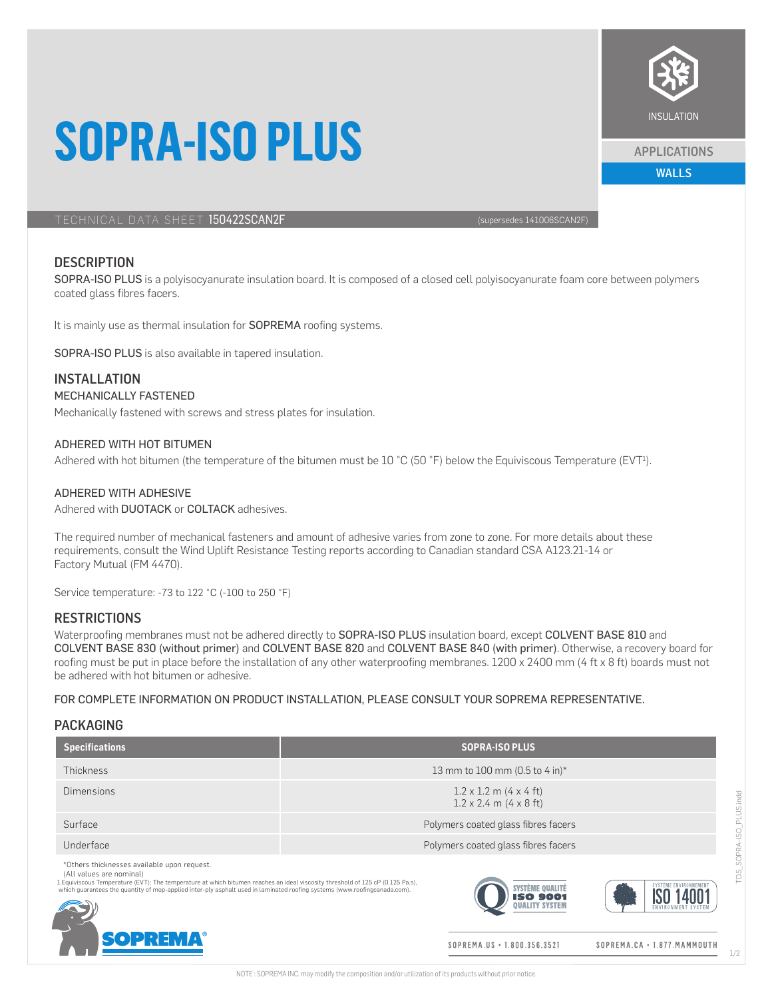# **SOPRA-ISO PLUS**

TECHNICAL DATA SHEET 150422SCAN2F (supersedes 141006SCAN2F)

## **DESCRIPTION**

SOPRA-ISO PLUS is a polyisocyanurate insulation board. It is composed of a closed cell polyisocyanurate foam core between polymers coated glass fibres facers.

It is mainly use as thermal insulation for **SOPREMA** roofing systems.

SOPRA-ISO PLUS is also available in tapered insulation.

## INSTALLATION

#### MECHANICALLY FASTENED

Mechanically fastened with screws and stress plates for insulation.

### ADHERED WITH HOT BITUMEN

Adhered with hot bitumen (the temperature of the bitumen must be  $10 °C$  (50 °F) below the Equiviscous Temperature (EVT<sup>1</sup>).

### ADHERED WITH ADHESIVE

Adhered with DUOTACK or COLTACK adhesives.

The required number of mechanical fasteners and amount of adhesive varies from zone to zone. For more details about these requirements, consult the Wind Uplift Resistance Testing reports according to Canadian standard CSA A123.21-14 or Factory Mutual (FM 4470).

Service temperature: -73 to 122 °C (-100 to 250 °F)

## **RESTRICTIONS**

Waterproofing membranes must not be adhered directly to SOPRA-ISO PLUS insulation board, except COLVENT BASE 810 and COLVENT BASE 830 (without primer) and COLVENT BASE 820 and COLVENT BASE 840 (with primer). Otherwise, a recovery board for roofing must be put in place before the installation of any other waterproofing membranes. 1200 x 2400 mm (4 ft x 8 ft) boards must not be adhered with hot bitumen or adhesive.

FOR COMPLETE INFORMATION ON PRODUCT INSTALLATION, PLEASE CONSULT YOUR SOPREMA REPRESENTATIVE.

#### PACKAGING

| <b>Specifications</b>                                                                                                                                                                                                                                                                                                                   | <b>SOPRA-ISO PLUS</b>                                                 |
|-----------------------------------------------------------------------------------------------------------------------------------------------------------------------------------------------------------------------------------------------------------------------------------------------------------------------------------------|-----------------------------------------------------------------------|
| <b>Thickness</b>                                                                                                                                                                                                                                                                                                                        | 13 mm to 100 mm (0.5 to 4 in)*                                        |
| Dimensions                                                                                                                                                                                                                                                                                                                              | $1.2 \times 1.2$ m (4 x 4 ft)<br>$1.2 \times 2.4$ m $(4 \times 8$ ft) |
| Surface                                                                                                                                                                                                                                                                                                                                 | Polymers coated glass fibres facers                                   |
| Underface                                                                                                                                                                                                                                                                                                                               | Polymers coated glass fibres facers                                   |
| *Others thicknesses available upon request.<br>(All values are nominal)<br>1. Equiviscous Temperature (EVT): The temperature at which bitumen reaches an ideal viscosity threshold of 125 cP (0.125 Pa.s),<br>which guarantees the quantity of mop-applied inter-ply asphalt used in laminated roofing systems (www.roofingcanada.com). | SYSTEME ENVIRON<br><b>SYSTÈME QUALITE</b><br><b>ISO 900:</b>          |
| <b>SOPREMA®</b>                                                                                                                                                                                                                                                                                                                         | SOPREMA.US • 1.800.356.3521<br>SOPREMA.CA . 1.877. MAMMOUTH           |

SOPRA-ISO PLUS.indd TDS\_SOPRA-ISO\_PLUS.indd **TDS** 



APPLICATIONS

WALLS